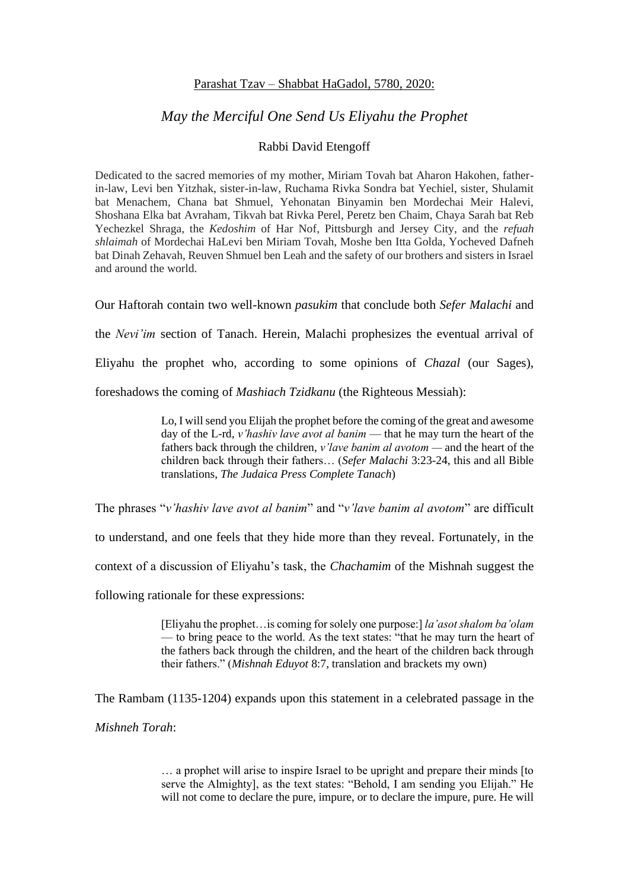## Parashat Tzav – Shabbat HaGadol, 5780, 2020:

## *May the Merciful One Send Us Eliyahu the Prophet*

## Rabbi David Etengoff

Dedicated to the sacred memories of my mother, Miriam Tovah bat Aharon Hakohen, fatherin-law, Levi ben Yitzhak, sister-in-law, Ruchama Rivka Sondra bat Yechiel, sister, Shulamit bat Menachem, Chana bat Shmuel, Yehonatan Binyamin ben Mordechai Meir Halevi, Shoshana Elka bat Avraham, Tikvah bat Rivka Perel, Peretz ben Chaim, Chaya Sarah bat Reb Yechezkel Shraga, the *Kedoshim* of Har Nof, Pittsburgh and Jersey City, and the *refuah shlaimah* of Mordechai HaLevi ben Miriam Tovah, Moshe ben Itta Golda, Yocheved Dafneh bat Dinah Zehavah, Reuven Shmuel ben Leah and the safety of our brothers and sisters in Israel and around the world.

Our Haftorah contain two well-known *pasukim* that conclude both *Sefer Malachi* and

the *Nevi'im* section of Tanach. Herein, Malachi prophesizes the eventual arrival of

Eliyahu the prophet who, according to some opinions of *Chazal* (our Sages),

foreshadows the coming of *Mashiach Tzidkanu* (the Righteous Messiah):

Lo, I will send you Elijah the prophet before the coming of the great and awesome day of the L-rd, *v'hashiv lave avot al banim* — that he may turn the heart of the fathers back through the children, *v'lave banim al avotom —* and the heart of the children back through their fathers… (*Sefer Malachi* 3:23-24, this and all Bible translations, *The Judaica Press Complete Tanach*)

The phrases "*v'hashiv lave avot al banim*" and "*v'lave banim al avotom*" are difficult

to understand, and one feels that they hide more than they reveal. Fortunately, in the

context of a discussion of Eliyahu's task, the *Chachamim* of the Mishnah suggest the

following rationale for these expressions:

[Eliyahu the prophet…is coming for solely one purpose:] *la'asot shalom ba'olam* — to bring peace to the world. As the text states: "that he may turn the heart of the fathers back through the children, and the heart of the children back through their fathers." (*Mishnah Eduyot* 8:7, translation and brackets my own)

The Rambam (1135-1204) expands upon this statement in a celebrated passage in the

*Mishneh Torah*:

… a prophet will arise to inspire Israel to be upright and prepare their minds [to serve the Almighty], as the text states: "Behold, I am sending you Elijah." He will not come to declare the pure, impure, or to declare the impure, pure. He will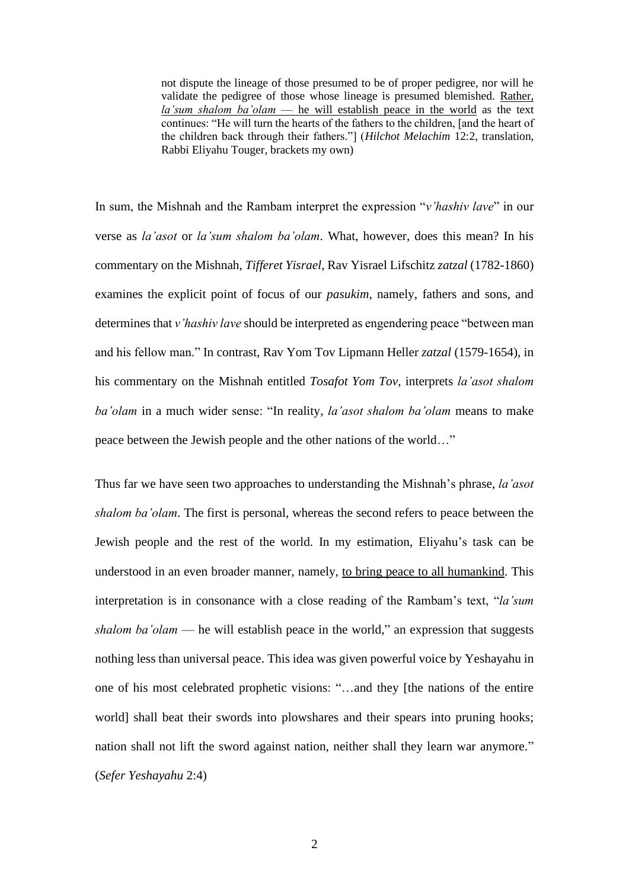not dispute the lineage of those presumed to be of proper pedigree, nor will he validate the pedigree of those whose lineage is presumed blemished. Rather, *la'sum shalom ba'olam* — he will establish peace in the world as the text continues: "He will turn the hearts of the fathers to the children, [and the heart of the children back through their fathers."] (*Hilchot Melachim* 12:2, translation, Rabbi Eliyahu Touger, brackets my own)

In sum, the Mishnah and the Rambam interpret the expression "*v'hashiv lave*" in our verse as *la'asot* or *la'sum shalom ba'olam*. What, however, does this mean? In his commentary on the Mishnah, *Tifferet Yisrael*, Rav Yisrael Lifschitz *zatzal* (1782-1860) examines the explicit point of focus of our *pasukim*, namely, fathers and sons, and determines that *v'hashiv lave* should be interpreted as engendering peace "between man and his fellow man." In contrast, Rav Yom Tov Lipmann Heller *zatzal* (1579-1654), in his commentary on the Mishnah entitled *Tosafot Yom Tov*, interprets *la'asot shalom ba'olam* in a much wider sense: "In reality, *la'asot shalom ba'olam* means to make peace between the Jewish people and the other nations of the world…"

Thus far we have seen two approaches to understanding the Mishnah's phrase, *la'asot shalom ba'olam*. The first is personal, whereas the second refers to peace between the Jewish people and the rest of the world. In my estimation, Eliyahu's task can be understood in an even broader manner, namely, to bring peace to all humankind. This interpretation is in consonance with a close reading of the Rambam's text, "*la'sum shalom ba'olam* — he will establish peace in the world," an expression that suggests nothing less than universal peace. This idea was given powerful voice by Yeshayahu in one of his most celebrated prophetic visions: "…and they [the nations of the entire world] shall beat their swords into plowshares and their spears into pruning hooks; nation shall not lift the sword against nation, neither shall they learn war anymore." (*Sefer Yeshayahu* 2:4)